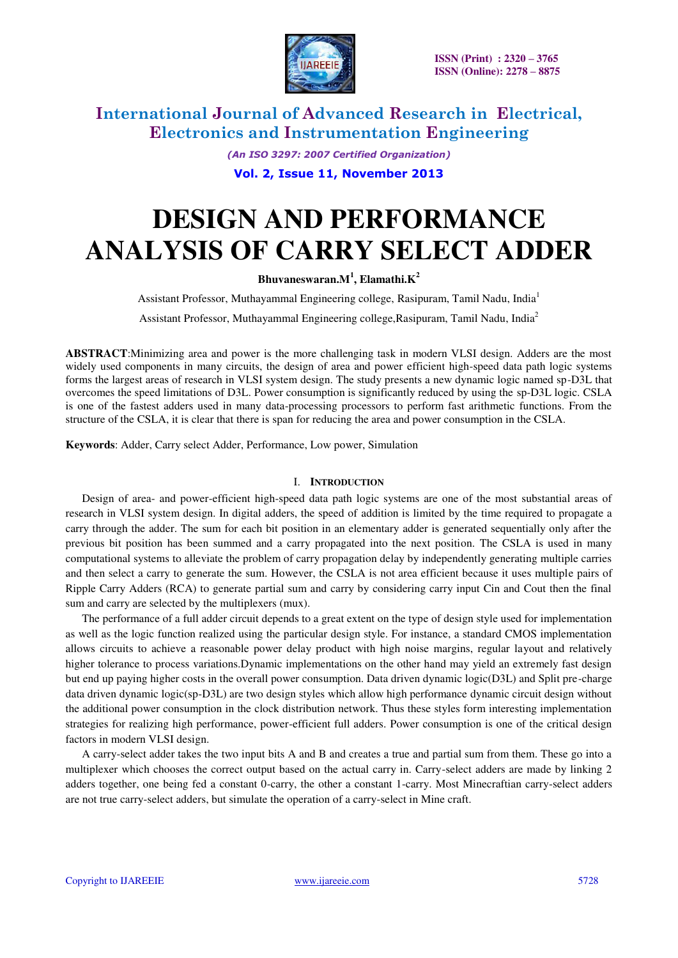

*(An ISO 3297: 2007 Certified Organization)* 

**Vol. 2, Issue 11, November 2013**

# **DESIGN AND PERFORMANCE ANALYSIS OF CARRY SELECT ADDER**

**Bhuvaneswaran.M<sup>1</sup> , Elamathi.K<sup>2</sup>**

Assistant Professor, Muthayammal Engineering college, Rasipuram, Tamil Nadu, India<sup>1</sup>

Assistant Professor, Muthayammal Engineering college,Rasipuram, Tamil Nadu, India<sup>2</sup>

**ABSTRACT**:Minimizing area and power is the more challenging task in modern VLSI design. Adders are the most widely used components in many circuits, the design of area and power efficient high-speed data path logic systems forms the largest areas of research in VLSI system design. The study presents a new dynamic logic named sp-D3L that overcomes the speed limitations of D3L. Power consumption is significantly reduced by using the sp-D3L logic. CSLA is one of the fastest adders used in many data-processing processors to perform fast arithmetic functions. From the structure of the CSLA, it is clear that there is span for reducing the area and power consumption in the CSLA.

**Keywords**: Adder, Carry select Adder, Performance, Low power, Simulation

#### I. **INTRODUCTION**

Design of area- and power-efficient high-speed data path logic systems are one of the most substantial areas of research in VLSI system design. In digital adders, the speed of addition is limited by the time required to propagate a carry through the adder. The sum for each bit position in an elementary adder is generated sequentially only after the previous bit position has been summed and a carry propagated into the next position. The CSLA is used in many computational systems to alleviate the problem of carry propagation delay by independently generating multiple carries and then select a carry to generate the sum. However, the CSLA is not area efficient because it uses multiple pairs of Ripple Carry Adders (RCA) to generate partial sum and carry by considering carry input Cin and Cout then the final sum and carry are selected by the multiplexers (mux).

The performance of a full adder circuit depends to a great extent on the type of design style used for implementation as well as the logic function realized using the particular design style. For instance, a standard CMOS implementation allows circuits to achieve a reasonable power delay product with high noise margins, regular layout and relatively higher tolerance to process variations.Dynamic implementations on the other hand may yield an extremely fast design but end up paying higher costs in the overall power consumption. Data driven dynamic logic(D3L) and Split pre-charge data driven dynamic logic(sp-D3L) are two design styles which allow high performance dynamic circuit design without the additional power consumption in the clock distribution network. Thus these styles form interesting implementation strategies for realizing high performance, power-efficient full adders. Power consumption is one of the critical design factors in modern VLSI design.

A carry-select adder takes the two input bits A and B and creates a true and partial sum from them. These go into a multiplexer which chooses the correct output based on the actual carry in. Carry-select adders are made by linking 2 adders together, one being fed a constant 0-carry, the other a constant 1-carry. Most Minecraftian carry-select adders are not true carry-select adders, but simulate the operation of a carry-select in Mine craft.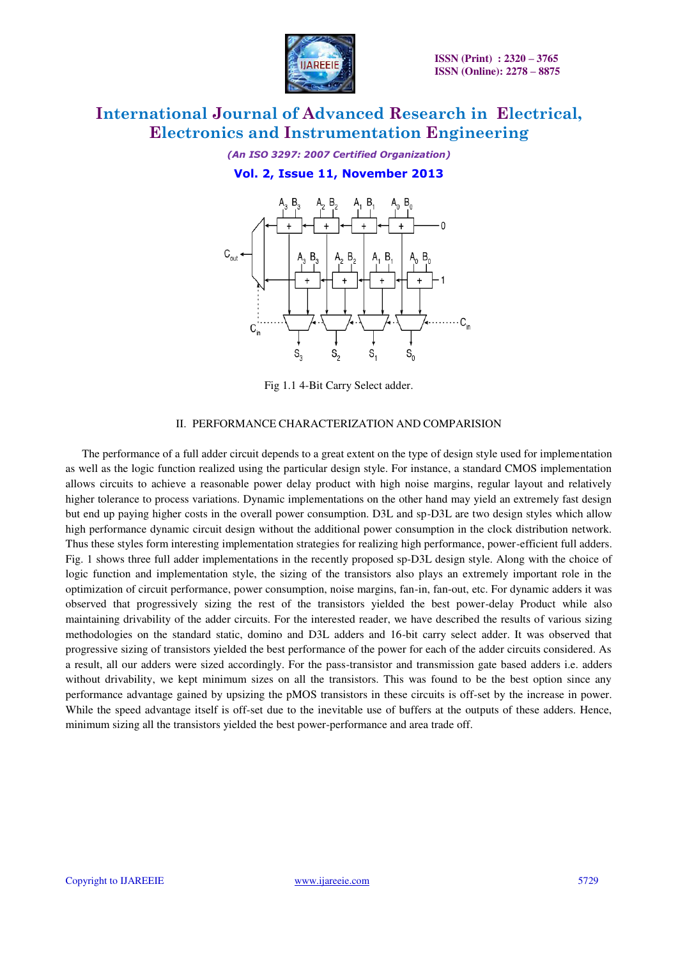

*(An ISO 3297: 2007 Certified Organization)* 

### **Vol. 2, Issue 11, November 2013**



Fig 1.1 4-Bit Carry Select adder.

#### II. PERFORMANCE CHARACTERIZATION AND COMPARISION

The performance of a full adder circuit depends to a great extent on the type of design style used for implementation as well as the logic function realized using the particular design style. For instance, a standard CMOS implementation allows circuits to achieve a reasonable power delay product with high noise margins, regular layout and relatively higher tolerance to process variations. Dynamic implementations on the other hand may yield an extremely fast design but end up paying higher costs in the overall power consumption. D3L and sp-D3L are two design styles which allow high performance dynamic circuit design without the additional power consumption in the clock distribution network. Thus these styles form interesting implementation strategies for realizing high performance, power-efficient full adders. Fig. 1 shows three full adder implementations in the recently proposed sp-D3L design style. Along with the choice of logic function and implementation style, the sizing of the transistors also plays an extremely important role in the optimization of circuit performance, power consumption, noise margins, fan-in, fan-out, etc. For dynamic adders it was observed that progressively sizing the rest of the transistors yielded the best power-delay Product while also maintaining drivability of the adder circuits. For the interested reader, we have described the results of various sizing methodologies on the standard static, domino and D3L adders and 16-bit carry select adder. It was observed that progressive sizing of transistors yielded the best performance of the power for each of the adder circuits considered. As a result, all our adders were sized accordingly. For the pass-transistor and transmission gate based adders i.e. adders without drivability, we kept minimum sizes on all the transistors. This was found to be the best option since any performance advantage gained by upsizing the pMOS transistors in these circuits is off-set by the increase in power. While the speed advantage itself is off-set due to the inevitable use of buffers at the outputs of these adders. Hence, minimum sizing all the transistors yielded the best power-performance and area trade off.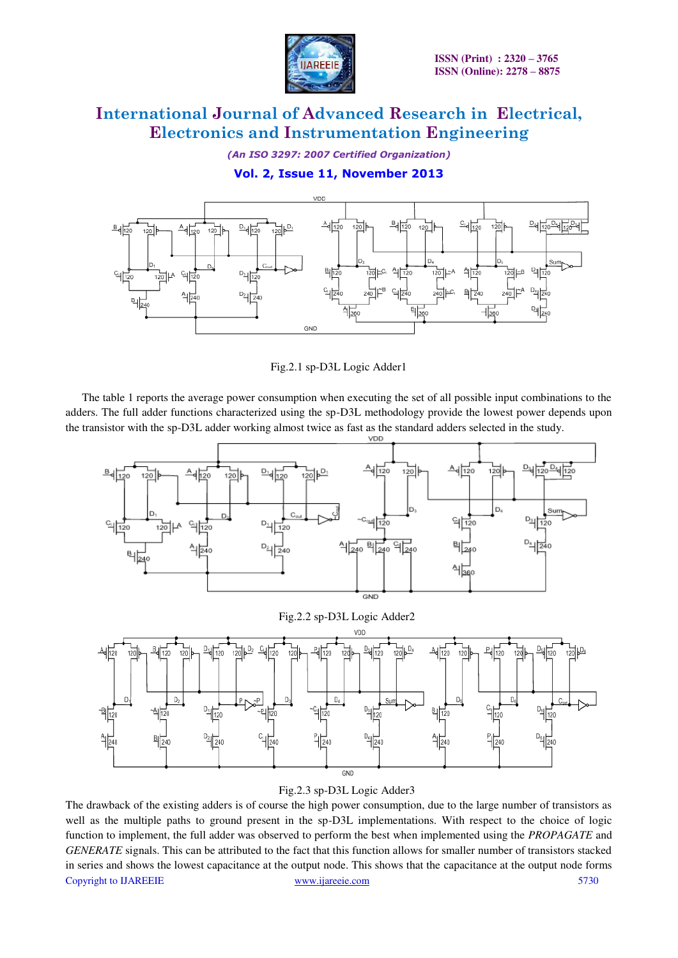

*(An ISO 3297: 2007 Certified Organization)* 

### **Vol. 2, Issue 11, November 2013**



Fig.2.1 sp-D3L Logic Adder1

The table 1 reports the average power consumption when executing the set of all possible input combinations to the adders. The full adder functions characterized using the sp-D3L methodology provide the lowest power depends upon the transistor with the sp-D3L adder working almost twice as fast as the standard adders selected in the study.



Fig.2.2 sp-D3L Logic Adder2



### Fig.2.3 sp-D3L Logic Adder3

Copyright to IJAREEIE www.ijareeie.com 5730 The drawback of the existing adders is of course the high power consumption, due to the large number of transistors as well as the multiple paths to ground present in the sp-D3L implementations. With respect to the choice of logic function to implement, the full adder was observed to perform the best when implemented using the *PROPAGATE* and *GENERATE* signals. This can be attributed to the fact that this function allows for smaller number of transistors stacked in series and shows the lowest capacitance at the output node. This shows that the capacitance at the output node forms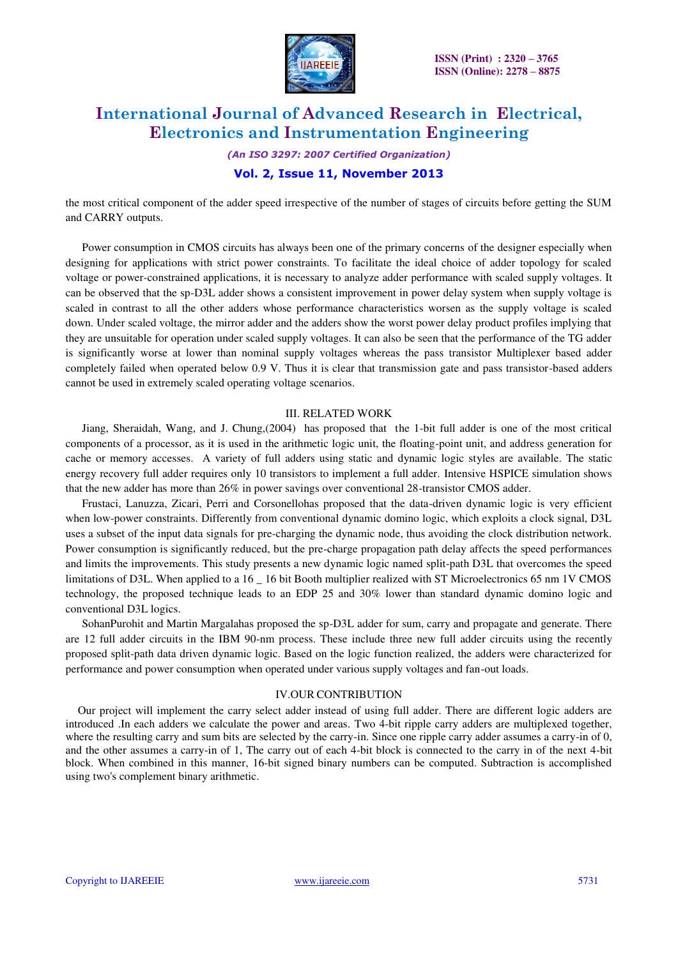

*(An ISO 3297: 2007 Certified Organization)* 

### **Vol. 2, Issue 11, November 2013**

the most critical component of the adder speed irrespective of the number of stages of circuits before getting the SUM and CARRY outputs.

Power consumption in CMOS circuits has always been one of the primary concerns of the designer especially when designing for applications with strict power constraints. To facilitate the ideal choice of adder topology for scaled voltage or power-constrained applications, it is necessary to analyze adder performance with scaled supply voltages. It can be observed that the sp-D3L adder shows a consistent improvement in power delay system when supply voltage is scaled in contrast to all the other adders whose performance characteristics worsen as the supply voltage is scaled down. Under scaled voltage, the mirror adder and the adders show the worst power delay product profiles implying that they are unsuitable for operation under scaled supply voltages. It can also be seen that the performance of the TG adder is significantly worse at lower than nominal supply voltages whereas the pass transistor Multiplexer based adder completely failed when operated below 0.9 V. Thus it is clear that transmission gate and pass transistor-based adders cannot be used in extremely scaled operating voltage scenarios.

#### III. RELATED WORK

Jiang, Sheraidah, Wang, and J. Chung,(2004) has proposed that the 1-bit full adder is one of the most critical components of a processor, as it is used in the arithmetic logic unit, the floating-point unit, and address generation for cache or memory accesses. A variety of full adders using static and dynamic logic styles are available. The static energy recovery full adder requires only 10 transistors to implement a full adder. Intensive HSPICE simulation shows that the new adder has more than 26% in power savings over conventional 28-transistor CMOS adder.

Frustaci, Lanuzza, Zicari, Perri and Corsonellohas proposed that the data-driven dynamic logic is very efficient when low-power constraints. Differently from conventional dynamic domino logic, which exploits a clock signal, D3L uses a subset of the input data signals for pre-charging the dynamic node, thus avoiding the clock distribution network. Power consumption is significantly reduced, but the pre-charge propagation path delay affects the speed performances and limits the improvements. This study presents a new dynamic logic named split-path D3L that overcomes the speed limitations of D3L. When applied to a 16 \_ 16 bit Booth multiplier realized with ST Microelectronics 65 nm 1V CMOS technology, the proposed technique leads to an EDP 25 and 30% lower than standard dynamic domino logic and conventional D3L logics.

SohanPurohit and Martin Margalahas proposed the sp-D3L adder for sum, carry and propagate and generate. There are 12 full adder circuits in the IBM 90-nm process. These include three new full adder circuits using the recently proposed split-path data driven dynamic logic. Based on the logic function realized, the adders were characterized for performance and power consumption when operated under various supply voltages and fan-out loads.

#### IV.OUR CONTRIBUTION

Our project will implement the carry select adder instead of using full adder. There are different logic adders are introduced .In each adders we calculate the power and areas. Two 4-bit ripple carry adders are multiplexed together, where the resulting carry and sum bits are selected by the carry-in. Since one ripple carry adder assumes a carry-in of 0, and the other assumes a carry-in of 1, The carry out of each 4-bit block is connected to the carry in of the next 4-bit block. When combined in this manner, 16-bit signed binary numbers can be computed. Subtraction is accomplished using two's complement binary arithmetic.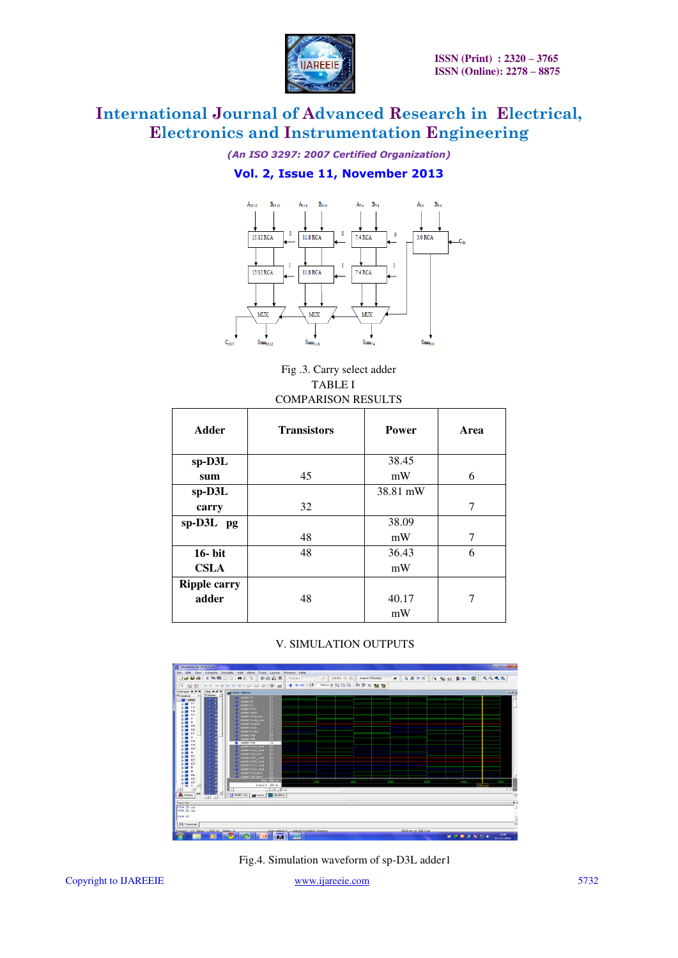

*(An ISO 3297: 2007 Certified Organization)* 

### **Vol. 2, Issue 11, November 2013**



Fig .3. Carry select adder TABLE I COMPARISON RESULTS

| <b>Adder</b>        | <b>Transistors</b> | Power    | Area |
|---------------------|--------------------|----------|------|
| sp-D3L              |                    | 38.45    |      |
| sum                 | 45                 | mW       | 6    |
| $sp-D3L$            |                    | 38.81 mW |      |
| carry               | 32                 |          | 7    |
| sp-D3L pg           |                    | 38.09    |      |
|                     | 48                 | mW       | 7    |
| 16- bit             | 48                 | 36.43    | 6    |
| <b>CSLA</b>         |                    | mW       |      |
| <b>Ripple carry</b> |                    |          |      |
| adder               | 48                 | 40.17    |      |
|                     |                    | mW       |      |

### V. SIMULATION OUTPUTS



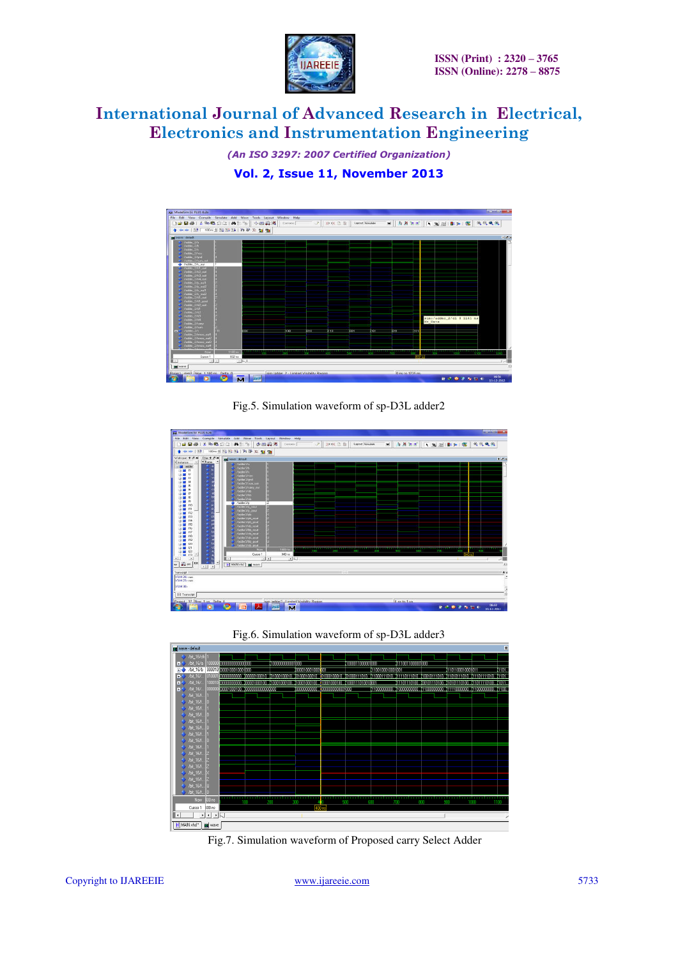

*(An ISO 3297: 2007 Certified Organization)* 

**Vol. 2, Issue 11, November 2013**



Fig.5. Simulation waveform of sp-D3L adder2







Fig.7. Simulation waveform of Proposed carry Select Adder